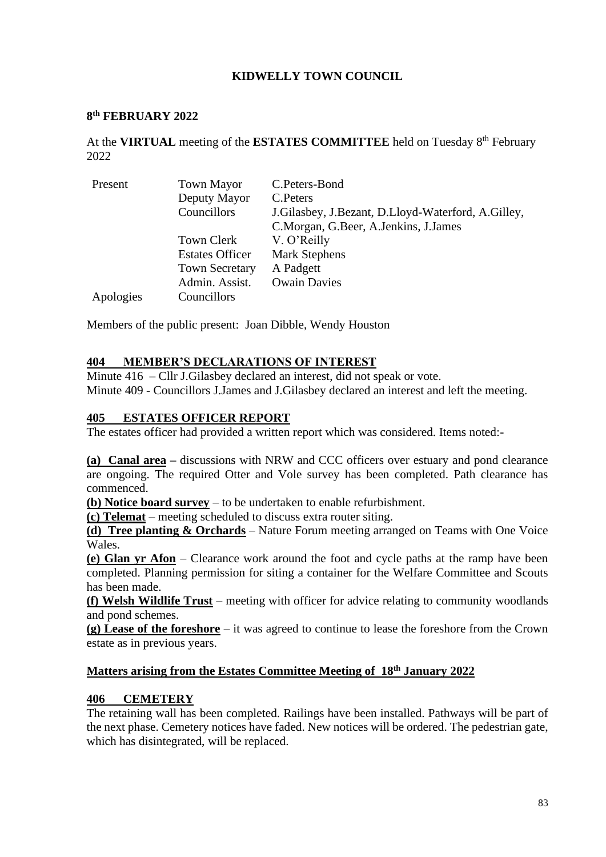## **KIDWELLY TOWN COUNCIL**

#### **8 th FEBRUARY 2022**

At the VIRTUAL meeting of the ESTATES COMMITTEE held on Tuesday 8<sup>th</sup> February 2022

| Present   | <b>Town Mayor</b>      | C.Peters-Bond                                      |
|-----------|------------------------|----------------------------------------------------|
|           | Deputy Mayor           | C. Peters                                          |
|           | Councillors            | J.Gilasbey, J.Bezant, D.Lloyd-Waterford, A.Gilley, |
|           |                        | C.Morgan, G.Beer, A.Jenkins, J.James               |
|           | Town Clerk             | V. O'Reilly                                        |
|           | <b>Estates Officer</b> | <b>Mark Stephens</b>                               |
|           | <b>Town Secretary</b>  | A Padgett                                          |
|           | Admin. Assist.         | <b>Owain Davies</b>                                |
| Apologies | Councillors            |                                                    |

Members of the public present: Joan Dibble, Wendy Houston

#### **404 MEMBER'S DECLARATIONS OF INTEREST**

Minute 416 – Cllr J.Gilasbey declared an interest, did not speak or vote. Minute 409 - Councillors J.James and J.Gilasbey declared an interest and left the meeting.

#### **405 ESTATES OFFICER REPORT**

The estates officer had provided a written report which was considered. Items noted:-

**(a) Canal area –** discussions with NRW and CCC officers over estuary and pond clearance are ongoing. The required Otter and Vole survey has been completed. Path clearance has commenced.

**(b) Notice board survey** – to be undertaken to enable refurbishment.

**(c) Telemat** – meeting scheduled to discuss extra router siting.

**(d) Tree planting & Orchards** – Nature Forum meeting arranged on Teams with One Voice Wales.

**(e) Glan yr Afon** – Clearance work around the foot and cycle paths at the ramp have been completed. Planning permission for siting a container for the Welfare Committee and Scouts has been made.

**(f) Welsh Wildlife Trust** – meeting with officer for advice relating to community woodlands and pond schemes.

**(g) Lease of the foreshore** – it was agreed to continue to lease the foreshore from the Crown estate as in previous years.

#### **Matters arising from the Estates Committee Meeting of 18 th January 2022**

#### **406 CEMETERY**

The retaining wall has been completed. Railings have been installed. Pathways will be part of the next phase. Cemetery notices have faded. New notices will be ordered. The pedestrian gate, which has disintegrated, will be replaced.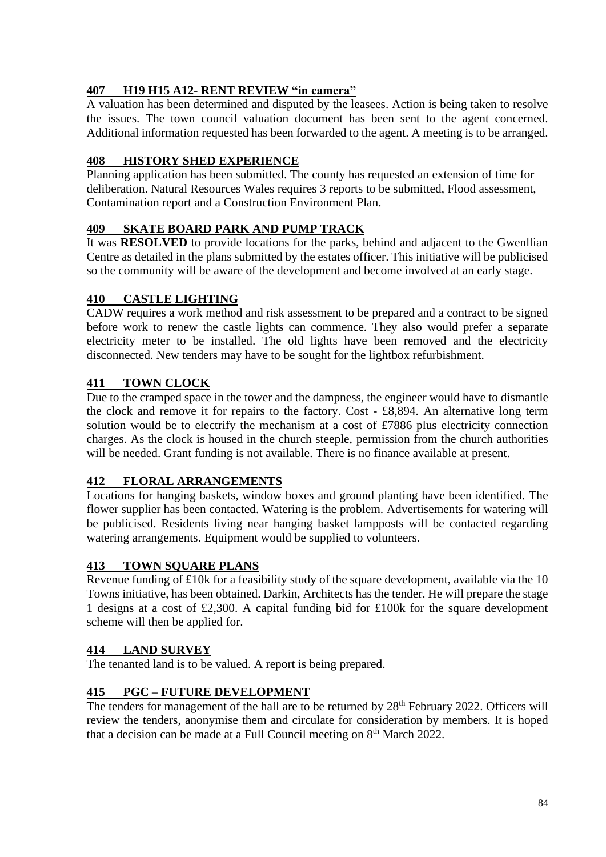# **407 H19 H15 A12- RENT REVIEW "in camera"**

A valuation has been determined and disputed by the leasees. Action is being taken to resolve the issues. The town council valuation document has been sent to the agent concerned. Additional information requested has been forwarded to the agent. A meeting is to be arranged.

# **408 HISTORY SHED EXPERIENCE**

Planning application has been submitted. The county has requested an extension of time for deliberation. Natural Resources Wales requires 3 reports to be submitted, Flood assessment, Contamination report and a Construction Environment Plan.

#### **409 SKATE BOARD PARK AND PUMP TRACK**

It was **RESOLVED** to provide locations for the parks, behind and adjacent to the Gwenllian Centre as detailed in the plans submitted by the estates officer. This initiative will be publicised so the community will be aware of the development and become involved at an early stage.

## **410 CASTLE LIGHTING**

CADW requires a work method and risk assessment to be prepared and a contract to be signed before work to renew the castle lights can commence. They also would prefer a separate electricity meter to be installed. The old lights have been removed and the electricity disconnected. New tenders may have to be sought for the lightbox refurbishment.

# **411 TOWN CLOCK**

Due to the cramped space in the tower and the dampness, the engineer would have to dismantle the clock and remove it for repairs to the factory. Cost - £8,894. An alternative long term solution would be to electrify the mechanism at a cost of £7886 plus electricity connection charges. As the clock is housed in the church steeple, permission from the church authorities will be needed. Grant funding is not available. There is no finance available at present.

## **412 FLORAL ARRANGEMENTS**

Locations for hanging baskets, window boxes and ground planting have been identified. The flower supplier has been contacted. Watering is the problem. Advertisements for watering will be publicised. Residents living near hanging basket lampposts will be contacted regarding watering arrangements. Equipment would be supplied to volunteers.

## **413 TOWN SQUARE PLANS**

Revenue funding of £10k for a feasibility study of the square development, available via the 10 Towns initiative, has been obtained. Darkin, Architects has the tender. He will prepare the stage 1 designs at a cost of £2,300. A capital funding bid for £100k for the square development scheme will then be applied for.

#### **414 LAND SURVEY**

The tenanted land is to be valued. A report is being prepared.

## **415 PGC – FUTURE DEVELOPMENT**

The tenders for management of the hall are to be returned by 28<sup>th</sup> February 2022. Officers will review the tenders, anonymise them and circulate for consideration by members. It is hoped that a decision can be made at a Full Council meeting on  $8<sup>th</sup>$  March 2022.